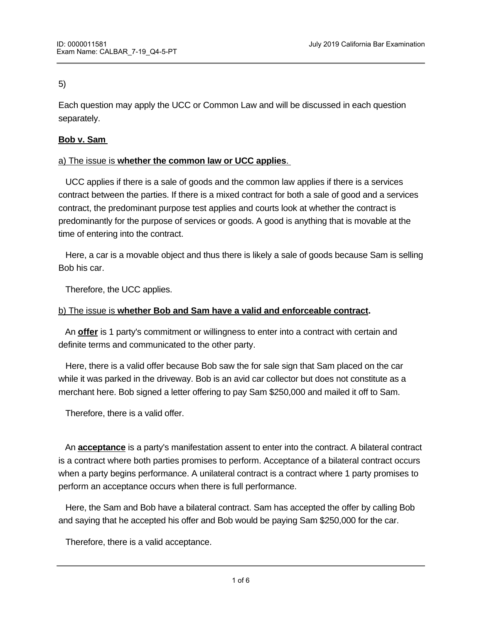#### 5)

Each question may apply the UCC or Common Law and will be discussed in each question separately.

### **Bob v. Sam**

# a) The issue is **whether the common law or UCC applies**.

 UCC applies if there is a sale of goods and the common law applies if there is a services contract between the parties. If there is a mixed contract for both a sale of good and a services contract, the predominant purpose test applies and courts look at whether the contract is predominantly for the purpose of services or goods. A good is anything that is movable at the time of entering into the contract.

 Here, a car is a movable object and thus there is likely a sale of goods because Sam is selling Bob his car.

Therefore, the UCC applies.

# b) The issue is **whether Bob and Sam have a valid and enforceable contract.**

 An **offer** is 1 party's commitment or willingness to enter into a contract with certain and definite terms and communicated to the other party.

 Here, there is a valid offer because Bob saw the for sale sign that Sam placed on the car while it was parked in the driveway. Bob is an avid car collector but does not constitute as a merchant here. Bob signed a letter offering to pay Sam \$250,000 and mailed it off to Sam.

Therefore, there is a valid offer.

 An **acceptance** is a party's manifestation assent to enter into the contract. A bilateral contract is a contract where both parties promises to perform. Acceptance of a bilateral contract occurs when a party begins performance. A unilateral contract is a contract where 1 party promises to perform an acceptance occurs when there is full performance.

 Here, the Sam and Bob have a bilateral contract. Sam has accepted the offer by calling Bob and saying that he accepted his offer and Bob would be paying Sam \$250,000 for the car.

Therefore, there is a valid acceptance.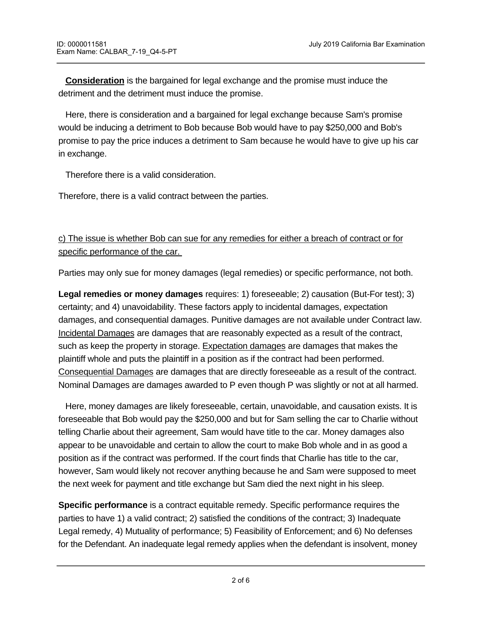**Consideration** is the bargained for legal exchange and the promise must induce the detriment and the detriment must induce the promise.

 Here, there is consideration and a bargained for legal exchange because Sam's promise would be inducing a detriment to Bob because Bob would have to pay \$250,000 and Bob's promise to pay the price induces a detriment to Sam because he would have to give up his car in exchange.

Therefore there is a valid consideration.

Therefore, there is a valid contract between the parties.

c) The issue is whether Bob can sue for any remedies for either a breach of contract or for specific performance of the car.

Parties may only sue for money damages (legal remedies) or specific performance, not both.

**Legal remedies or money damages** requires: 1) foreseeable; 2) causation (But-For test); 3) certainty; and 4) unavoidability. These factors apply to incidental damages, expectation damages, and consequential damages. Punitive damages are not available under Contract law. Incidental Damages are damages that are reasonably expected as a result of the contract, such as keep the property in storage. Expectation damages are damages that makes the plaintiff whole and puts the plaintiff in a position as if the contract had been performed. Consequential Damages are damages that are directly foreseeable as a result of the contract. Nominal Damages are damages awarded to P even though P was slightly or not at all harmed.

 Here, money damages are likely foreseeable, certain, unavoidable, and causation exists. It is foreseeable that Bob would pay the \$250,000 and but for Sam selling the car to Charlie without telling Charlie about their agreement, Sam would have title to the car. Money damages also appear to be unavoidable and certain to allow the court to make Bob whole and in as good a position as if the contract was performed. If the court finds that Charlie has title to the car, however, Sam would likely not recover anything because he and Sam were supposed to meet the next week for payment and title exchange but Sam died the next night in his sleep.

**Specific performance** is a contract equitable remedy. Specific performance requires the parties to have 1) a valid contract; 2) satisfied the conditions of the contract; 3) Inadequate Legal remedy, 4) Mutuality of performance; 5) Feasibility of Enforcement; and 6) No defenses for the Defendant. An inadequate legal remedy applies when the defendant is insolvent, money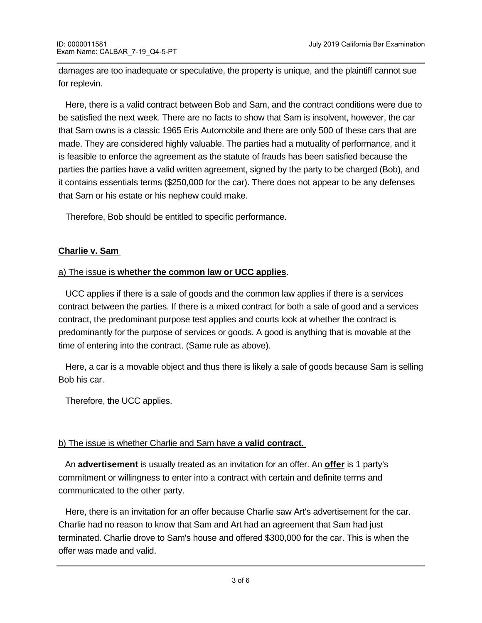damages are too inadequate or speculative, the property is unique, and the plaintiff cannot sue for replevin.

 Here, there is a valid contract between Bob and Sam, and the contract conditions were due to be satisfied the next week. There are no facts to show that Sam is insolvent, however, the car that Sam owns is a classic 1965 Eris Automobile and there are only 500 of these cars that are made. They are considered highly valuable. The parties had a mutuality of performance, and it is feasible to enforce the agreement as the statute of frauds has been satisfied because the parties the parties have a valid written agreement, signed by the party to be charged (Bob), and it contains essentials terms (\$250,000 for the car). There does not appear to be any defenses that Sam or his estate or his nephew could make.

Therefore, Bob should be entitled to specific performance.

# **Charlie v. Sam**

# a) The issue is **whether the common law or UCC applies**.

 UCC applies if there is a sale of goods and the common law applies if there is a services contract between the parties. If there is a mixed contract for both a sale of good and a services contract, the predominant purpose test applies and courts look at whether the contract is predominantly for the purpose of services or goods. A good is anything that is movable at the time of entering into the contract. (Same rule as above).

 Here, a car is a movable object and thus there is likely a sale of goods because Sam is selling Bob his car.

Therefore, the UCC applies.

#### b) The issue is whether Charlie and Sam have a **valid contract.**

 An **advertisement** is usually treated as an invitation for an offer. An **offer** is 1 party's commitment or willingness to enter into a contract with certain and definite terms and communicated to the other party.

 Here, there is an invitation for an offer because Charlie saw Art's advertisement for the car. Charlie had no reason to know that Sam and Art had an agreement that Sam had just terminated. Charlie drove to Sam's house and offered \$300,000 for the car. This is when the offer was made and valid.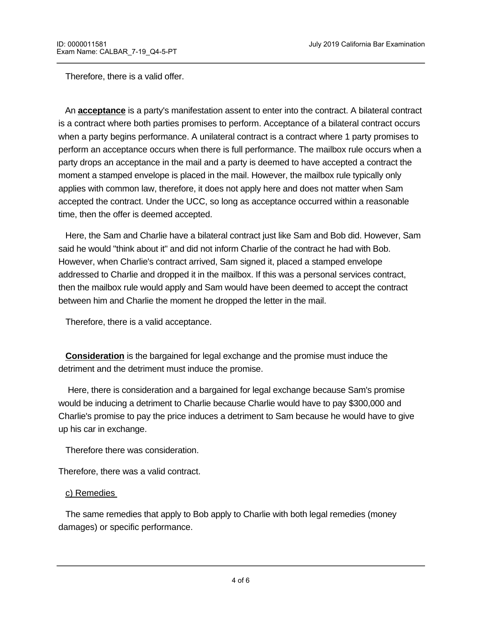Therefore, there is a valid offer.

 An **acceptance** is a party's manifestation assent to enter into the contract. A bilateral contract is a contract where both parties promises to perform. Acceptance of a bilateral contract occurs when a party begins performance. A unilateral contract is a contract where 1 party promises to perform an acceptance occurs when there is full performance. The mailbox rule occurs when a party drops an acceptance in the mail and a party is deemed to have accepted a contract the moment a stamped envelope is placed in the mail. However, the mailbox rule typically only applies with common law, therefore, it does not apply here and does not matter when Sam accepted the contract. Under the UCC, so long as acceptance occurred within a reasonable time, then the offer is deemed accepted.

 Here, the Sam and Charlie have a bilateral contract just like Sam and Bob did. However, Sam said he would "think about it" and did not inform Charlie of the contract he had with Bob. However, when Charlie's contract arrived, Sam signed it, placed a stamped envelope addressed to Charlie and dropped it in the mailbox. If this was a personal services contract, then the mailbox rule would apply and Sam would have been deemed to accept the contract between him and Charlie the moment he dropped the letter in the mail.

Therefore, there is a valid acceptance.

**Consideration** is the bargained for legal exchange and the promise must induce the detriment and the detriment must induce the promise.

 Here, there is consideration and a bargained for legal exchange because Sam's promise would be inducing a detriment to Charlie because Charlie would have to pay \$300,000 and Charlie's promise to pay the price induces a detriment to Sam because he would have to give up his car in exchange.

Therefore there was consideration.

Therefore, there was a valid contract.

#### c) Remedies

 The same remedies that apply to Bob apply to Charlie with both legal remedies (money damages) or specific performance.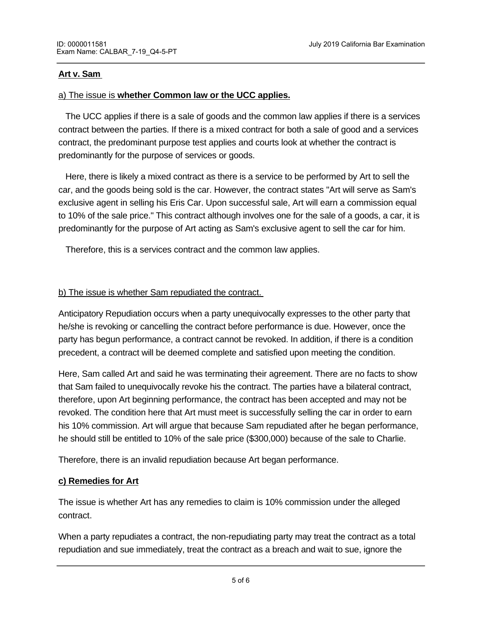### **Art v. Sam**

### a) The issue is **whether Common law or the UCC applies.**

 The UCC applies if there is a sale of goods and the common law applies if there is a services contract between the parties. If there is a mixed contract for both a sale of good and a services contract, the predominant purpose test applies and courts look at whether the contract is predominantly for the purpose of services or goods.

 Here, there is likely a mixed contract as there is a service to be performed by Art to sell the car, and the goods being sold is the car. However, the contract states "Art will serve as Sam's exclusive agent in selling his Eris Car. Upon successful sale, Art will earn a commission equal to 10% of the sale price." This contract although involves one for the sale of a goods, a car, it is predominantly for the purpose of Art acting as Sam's exclusive agent to sell the car for him.

Therefore, this is a services contract and the common law applies.

# b) The issue is whether Sam repudiated the contract.

Anticipatory Repudiation occurs when a party unequivocally expresses to the other party that he/she is revoking or cancelling the contract before performance is due. However, once the party has begun performance, a contract cannot be revoked. In addition, if there is a condition precedent, a contract will be deemed complete and satisfied upon meeting the condition.

Here, Sam called Art and said he was terminating their agreement. There are no facts to show that Sam failed to unequivocally revoke his the contract. The parties have a bilateral contract, therefore, upon Art beginning performance, the contract has been accepted and may not be revoked. The condition here that Art must meet is successfully selling the car in order to earn his 10% commission. Art will argue that because Sam repudiated after he began performance, he should still be entitled to 10% of the sale price (\$300,000) because of the sale to Charlie.

Therefore, there is an invalid repudiation because Art began performance.

#### **c) Remedies for Art**

The issue is whether Art has any remedies to claim is 10% commission under the alleged contract.

repudiation and urge performance, and accept the repudiation and sue for performance.

When a party repudiates a contract, the non-repudiating party may treat the contract as a total repudiation and sue immediately, treat the contract as a breach and wait to sue, ignore the